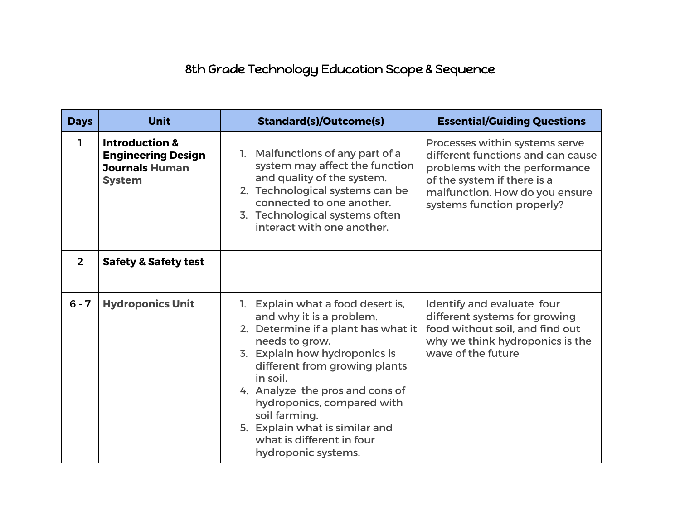## 8th Grade Technology Education Scope & Sequence

| <b>Days</b>    | <b>Unit</b>                                                                                      | <b>Standard(s)/Outcome(s)</b>                                                                                                                                                                                                                                                                                                                                                | <b>Essential/Guiding Questions</b>                                                                                                                                                                  |
|----------------|--------------------------------------------------------------------------------------------------|------------------------------------------------------------------------------------------------------------------------------------------------------------------------------------------------------------------------------------------------------------------------------------------------------------------------------------------------------------------------------|-----------------------------------------------------------------------------------------------------------------------------------------------------------------------------------------------------|
| ı              | <b>Introduction &amp;</b><br><b>Engineering Design</b><br><b>Journals Human</b><br><b>System</b> | 1. Malfunctions of any part of a<br>system may affect the function<br>and quality of the system.<br>2. Technological systems can be<br>connected to one another.<br>3. Technological systems often<br>interact with one another.                                                                                                                                             | Processes within systems serve<br>different functions and can cause<br>problems with the performance<br>of the system if there is a<br>malfunction. How do you ensure<br>systems function properly? |
| $\overline{2}$ | <b>Safety &amp; Safety test</b>                                                                  |                                                                                                                                                                                                                                                                                                                                                                              |                                                                                                                                                                                                     |
| $6 - 7$        | <b>Hydroponics Unit</b>                                                                          | 1. Explain what a food desert is,<br>and why it is a problem.<br>2. Determine if a plant has what it<br>needs to grow.<br>3. Explain how hydroponics is<br>different from growing plants<br>in soil.<br>4. Analyze the pros and cons of<br>hydroponics, compared with<br>soil farming.<br>5. Explain what is similar and<br>what is different in four<br>hydroponic systems. | Identify and evaluate four<br>different systems for growing<br>food without soil, and find out<br>why we think hydroponics is the<br>wave of the future                                             |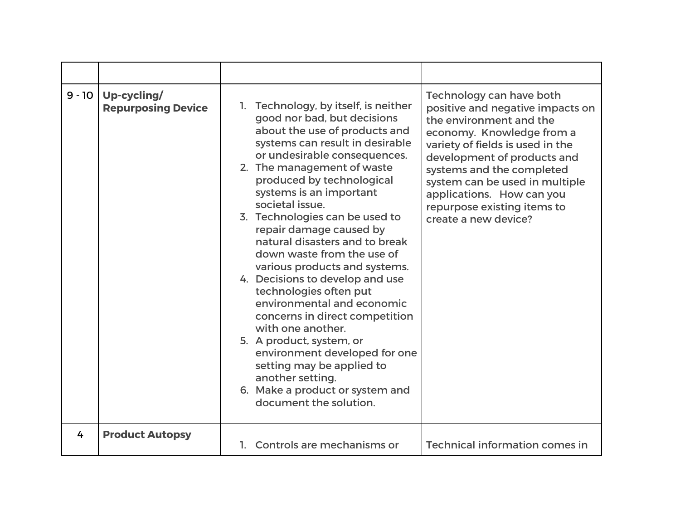| $9 - 10$ | Up-cycling/<br><b>Repurposing Device</b> | Technology, by itself, is neither<br>1.<br>good nor bad, but decisions<br>about the use of products and<br>systems can result in desirable<br>or undesirable consequences.<br>2. The management of waste<br>produced by technological<br>systems is an important<br>societal issue.<br>3. Technologies can be used to<br>repair damage caused by<br>natural disasters and to break<br>down waste from the use of<br>various products and systems.<br>4. Decisions to develop and use<br>technologies often put<br>environmental and economic<br>concerns in direct competition<br>with one another.<br>5. A product, system, or<br>environment developed for one<br>setting may be applied to<br>another setting.<br>6. Make a product or system and<br>document the solution. | Technology can have both<br>positive and negative impacts on<br>the environment and the<br>economy. Knowledge from a<br>variety of fields is used in the<br>development of products and<br>systems and the completed<br>system can be used in multiple<br>applications. How can you<br>repurpose existing items to<br>create a new device? |
|----------|------------------------------------------|--------------------------------------------------------------------------------------------------------------------------------------------------------------------------------------------------------------------------------------------------------------------------------------------------------------------------------------------------------------------------------------------------------------------------------------------------------------------------------------------------------------------------------------------------------------------------------------------------------------------------------------------------------------------------------------------------------------------------------------------------------------------------------|--------------------------------------------------------------------------------------------------------------------------------------------------------------------------------------------------------------------------------------------------------------------------------------------------------------------------------------------|
| 4        | <b>Product Autopsy</b>                   | 1. Controls are mechanisms or                                                                                                                                                                                                                                                                                                                                                                                                                                                                                                                                                                                                                                                                                                                                                  | <b>Technical information comes in</b>                                                                                                                                                                                                                                                                                                      |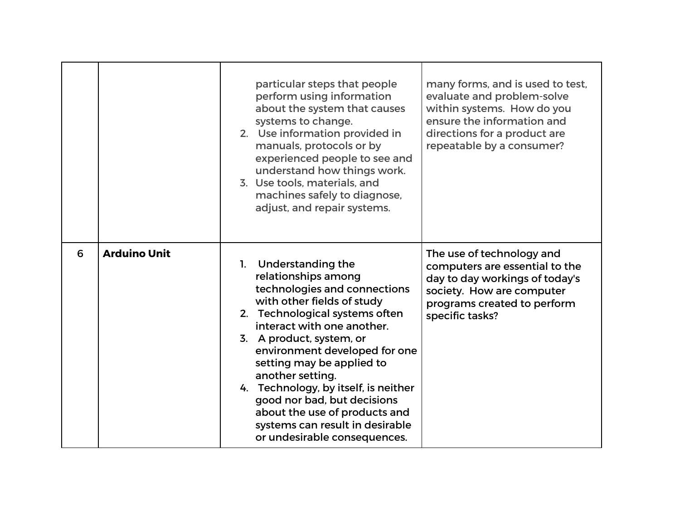|   |                     | many forms, and is used to test,<br>particular steps that people<br>perform using information<br>evaluate and problem-solve<br>about the system that causes<br>within systems. How do you<br>ensure the information and<br>systems to change.<br>2. Use information provided in<br>directions for a product are<br>manuals, protocols or by<br>repeatable by a consumer?<br>experienced people to see and<br>understand how things work.<br>3. Use tools, materials, and<br>machines safely to diagnose,<br>adjust, and repair systems.                                                                                                            |
|---|---------------------|----------------------------------------------------------------------------------------------------------------------------------------------------------------------------------------------------------------------------------------------------------------------------------------------------------------------------------------------------------------------------------------------------------------------------------------------------------------------------------------------------------------------------------------------------------------------------------------------------------------------------------------------------|
| 6 | <b>Arduino Unit</b> | The use of technology and<br>1. Understanding the<br>computers are essential to the<br>relationships among<br>day to day workings of today's<br>technologies and connections<br>society. How are computer<br>with other fields of study<br>programs created to perform<br>2. Technological systems often<br>specific tasks?<br>interact with one another.<br>3. A product, system, or<br>environment developed for one<br>setting may be applied to<br>another setting.<br>4. Technology, by itself, is neither<br>good nor bad, but decisions<br>about the use of products and<br>systems can result in desirable<br>or undesirable consequences. |